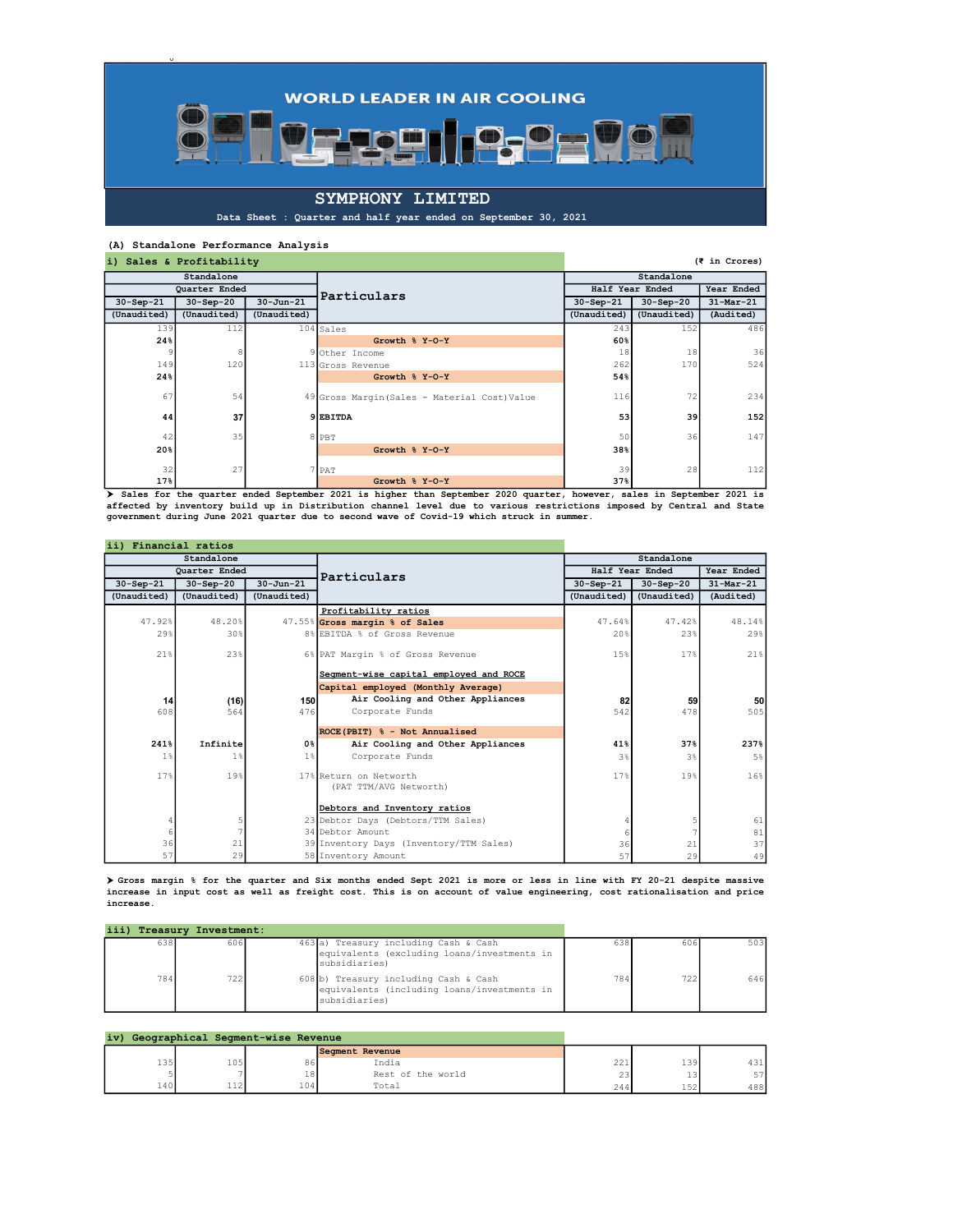$\bullet$  ,  $\bullet$  ,  $\bullet$ 

## SYMPHONY LIMITED

Data Sheet : Quarter and half year ended on September 30, 2021

**TETI** 

## (A) Standalone Performance Analysis

0

| i) Sales & Profitability |                 |                 |                                               |                 |             | (₹ in Crores) |
|--------------------------|-----------------|-----------------|-----------------------------------------------|-----------------|-------------|---------------|
|                          | Standalone      |                 |                                               |                 | Standalone  |               |
|                          | Quarter Ended   |                 | Particulars                                   | Half Year Ended |             | Year Ended    |
| $30-Sep-21$              | $30-Sep-20$     | $30 - Jun - 21$ |                                               | $30-Sep-21$     | $30-Sep-20$ | $31$ -Mar-21  |
| (Unaudited)              | (Unaudited)     | (Unaudited)     |                                               | (Unaudited)     | (Unaudited) | (Audited)     |
| 139                      | 112             |                 | $104$ Sales                                   | 243             | 152         | 486           |
| 24%                      |                 |                 | Growth % Y-O-Y                                | 60%             |             |               |
| 9                        | 8               |                 | 9 Other Income                                | 18              | 18          | 36            |
| 149                      | 120             |                 | 113 Gross Revenue                             | 262             | 170         | 524           |
| 24%                      |                 |                 | Growth % Y-O-Y                                | 54%             |             |               |
| 67                       | 54              |                 | 49 Gross Margin (Sales - Material Cost) Value | 116             | 72          | 234           |
| 44                       | 37 <sub>l</sub> |                 | 9 EBITDA                                      | 53              | 39          | 152           |
| 42                       | 35              |                 | 8 PBT                                         | 50              | 36          | 147           |
| 20%                      |                 |                 | Growth % Y-O-Y                                | 38%             |             |               |
| 32                       | 27              |                 | / PAT                                         | 39              | 28          | 112           |
| 17%                      |                 |                 | Growth % Y-O-Y                                | 37%             |             |               |

Sales for the quarter ended September 2021 is higher than September 2020 quarter, however, sales in September 2021 is affected by inventory build up in Distribution channel level due to various restrictions imposed by Cent

| ii) Financial ratios |                      |                  |                                                  |                 |             |             |
|----------------------|----------------------|------------------|--------------------------------------------------|-----------------|-------------|-------------|
|                      | Standalone           |                  |                                                  |                 | Standalone  |             |
|                      | <b>Ouarter Ended</b> |                  | Particulars                                      | Half Year Ended | Year Ended  |             |
| $30-Sep-21$          | $30 - Sep - 20$      | $30 - Jun - 21$  |                                                  | $30-Sep-21$     | $30-Sep-20$ | $31-Mar-21$ |
| (Unaudited)          | (Unaudited)          | (Unaudited)      |                                                  | (Unaudited)     | (Unaudited) | (Audited)   |
|                      |                      |                  | Profitability ratios                             |                 |             |             |
| 47.92%               | 48.20%               |                  | 47.55% Gross margin % of Sales                   | 47.64%          | 47.42%      | 48.14%      |
| 29%                  | 30%                  |                  | 8% EBITDA % of Gross Revenue                     | 20%             | 23%         | 29%         |
| $21$ $%$             | 23%                  |                  | 6% PAT Margin % of Gross Revenue                 | 1.5%            | 17%         | 21%         |
|                      |                      |                  | Segment-wise capital employed and ROCE           |                 |             |             |
|                      |                      |                  | Capital employed (Monthly Average)               |                 |             |             |
| 14                   | (16)                 | 150              | Air Cooling and Other Appliances                 | 82              | 59          | <b>50</b>   |
| 608                  | 564                  | 476              | Corporate Funds                                  | 542             | 478         | 505         |
|                      |                      |                  | ROCE(PBIT) % - Not Annualised                    |                 |             |             |
| 241%                 | Infinite             | $0$ <sup>8</sup> | Air Cooling and Other Appliances                 | 41%             | 37%         | 237%        |
| 1%                   | 1%                   | 1%               | Corporate Funds                                  | 3%              | 3%          | $5\%$       |
| 17%                  | 19%                  |                  | 17% Return on Networth<br>(PAT TTM/AVG Networth) | 17%             | 19%         | 16%         |
|                      |                      |                  | Debtors and Inventory ratios                     |                 |             |             |
|                      |                      |                  | 23 Debtor Days (Debtors/TTM Sales)               |                 | 5           | 61          |
|                      |                      |                  | 34 Debtor Amount                                 |                 |             | 81          |
| 36                   | 21                   |                  | 39 Inventory Days (Inventory/TTM Sales)          | 36              | 21          | 37          |
| 57                   | 29                   |                  | 58 Inventory Amount                              | 57              | 29          | 49          |

 Gross margin % for the quarter and Six months ended Sept 2021 is more or less in line with FY 20-21 despite massive increase in input cost as well as freight cost. This is on account of value engineering, cost rationalisation and price increase.

|     | iii) Treasury Investment: |                                                                                                       |     |     |     |
|-----|---------------------------|-------------------------------------------------------------------------------------------------------|-----|-----|-----|
| 638 | 606                       | 463 a) Treasury including Cash & Cash<br>equivalents (excluding loans/investments in<br>subsidiaries) | 638 | 606 | 503 |
| 784 | 722                       | 608 b) Treasury including Cash & Cash<br>equivalents (including loans/investments in<br>subsidiaries) | 784 | 722 | 646 |

|     |                      | iv) Geographical Segment-wise Revenue |      |                   |                      |           |                              |
|-----|----------------------|---------------------------------------|------|-------------------|----------------------|-----------|------------------------------|
|     |                      |                                       |      | Segment Revenue   |                      |           |                              |
| 135 | 105'                 |                                       | 86   | India             | $\sim$ $\sim$<br>221 | 139       | $\sim$ $\sim$ $\sim$<br>431. |
|     |                      |                                       | 18'  | Rest of the world | 231                  | <b>LJ</b> | E7                           |
| 140 | $\sim$<br><b>114</b> |                                       | 104' | Total             | 244                  | 広つ<br>ᆂᅾᄼ | 488                          |